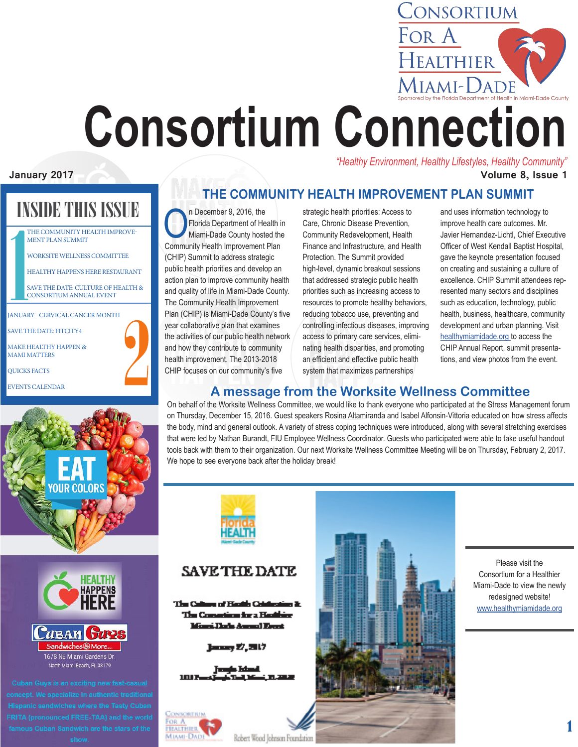

# **Consortium Connection** *"Healthy Environment, Healthy Lifestyles, Healthy Community"*

#### **January 2017 Volume 8, Issue 1**

INSIDE THIS ISSUE

THE COMMUNITY HEALTH IMPROVE-MENT PLAN SUMMIT

WORKSITE WELLNESS COMMITTEE

HEALTHY HAPPENS HERE RESTAURANT

SAVE THE DATE: CULTURE OF HEALTH & CONSORTIUM ANNUAL EVENT

| <b>JANUARY - CERVICAL CANCER MONTH</b>                  |  |
|---------------------------------------------------------|--|
| <b>SAVE THE DATE: FITCITY4</b>                          |  |
| <b>MAKE HEALTHY HAPPEN &amp;</b><br><b>MAMI MATTERS</b> |  |
| <b>QUICKS FACTS</b>                                     |  |
| <b>EVENTS CALENDAR</b>                                  |  |





**THE COMMUNITY HEALTH IMPROVEMENT PLAN SUMMIT** 

The Plorida Department of He<br>
Niami-Dade County hoste<br>
Community Health Improvement Florida Department of Health in Miami-Dade County hosted the Community Health Improvement Plan (CHIP) Summit to address strategic public health priorities and develop an action plan to improve community health and quality of life in Miami-Dade County. The Community Health Improvement Plan (CHIP) is Miami-Dade County's five year collaborative plan that examines the activities of our public health network and how they contribute to community health improvement. The 2013-2018 CHIP focuses on our community's five

strategic health priorities: Access to Care, Chronic Disease Prevention, Community Redevelopment, Health Finance and Infrastructure, and Health Protection. The Summit provided high-level, dynamic breakout sessions that addressed strategic public health priorities such as increasing access to resources to promote healthy behaviors, reducing tobacco use, preventing and controlling infectious diseases, improving access to primary care services, eliminating health disparities, and promoting an efficient and effective public health system that maximizes partnerships

and uses information technology to improve health care outcomes. Mr. Javier Hernandez-Lichtl, Chief Executive Officer of West Kendall Baptist Hospital, gave the keynote presentation focused on creating and sustaining a culture of excellence. CHIP Summit attendees represented many sectors and disciplines such as education, technology, public health, business, healthcare, community development and urban planning. Visit [healthymiamidade.org](http://healthmiamidade.org ) to access the CHIP Annual Report, summit presentations, and view photos from the event.

#### **A message from the Worksite Wellness Committee**

On behalf of the Worksite Wellness Committee, we would like to thank everyone who participated at the Stress Management forum on Thursday, December 15, 2016. Guest speakers Rosina Altamiranda and Isabel Alfonsin-Vittoria educated on how stress affects the body, mind and general outlook. A variety of stress coping techniques were introduced, along with several stretching exercises that were led by Nathan Burandt, FIU Employee Wellness Coordinator. Guests who participated were able to take useful handout tools back with them to their organization. Our next Worksite Wellness Committee Meeting will be on Thursday, February 2, 2017. We hope to see everyone back after the holiday break!



#### **SAVE THE DATE**

The Callege of Hazile Cold The Computing for a Healthing Minesi Dada Assemal Espect

January 27, 2017

**TEACTHIER** M.iam-Dad



Please visit the Consortium for a Healthier Miami-Dade to view the newly redesigned website! [www.healthymiamidade.org](http://www.healthymiamidade.org)